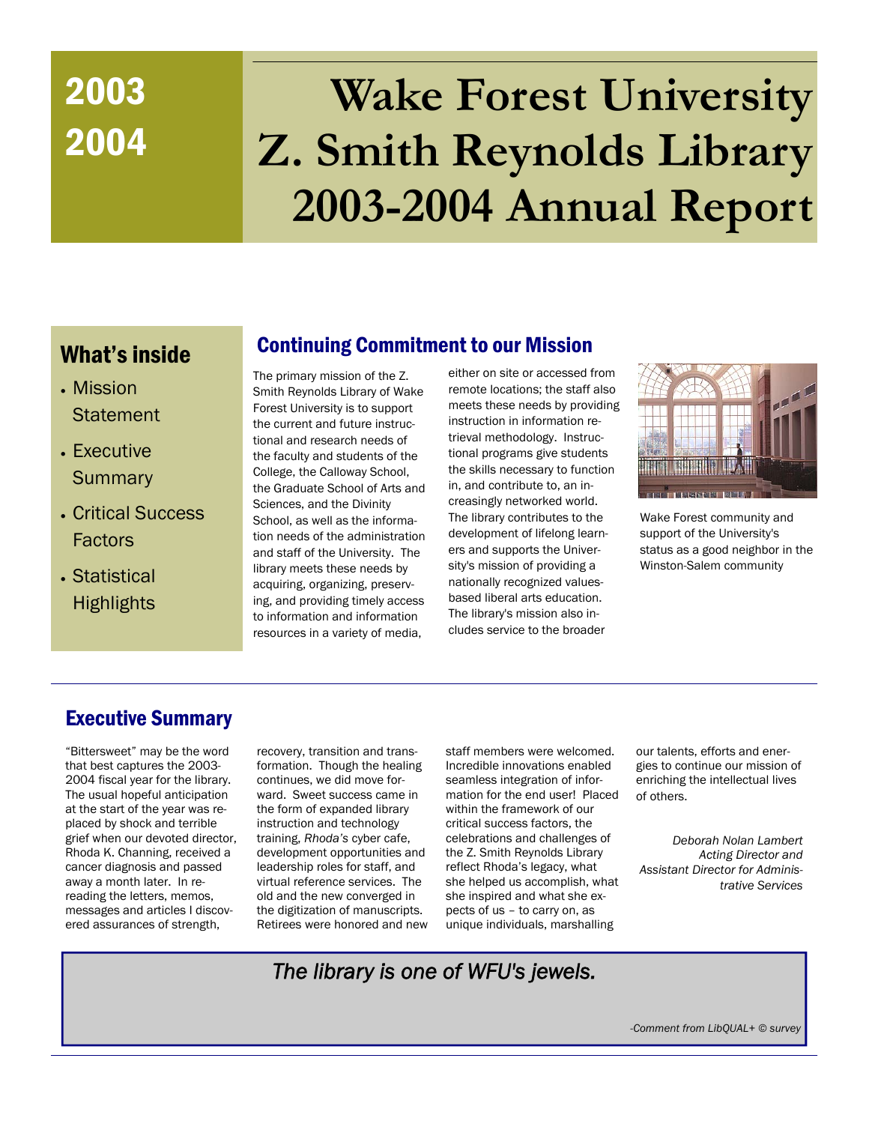# 2004

# 2003 **Wake Forest University Z. Smith Reynolds Library 2003-2004 Annual Report**

# What's inside

- Mission **Statement**
- Executive **Summary**
- Critical Success Factors
- Statistical **Highlights**

# Continuing Commitment to our Mission

The primary mission of the Z. Smith Reynolds Library of Wake Forest University is to support the current and future instructional and research needs of the faculty and students of the College, the Calloway School, the Graduate School of Arts and Sciences, and the Divinity School, as well as the information needs of the administration and staff of the University. The library meets these needs by acquiring, organizing, preserving, and providing timely access to information and information resources in a variety of media,

either on site or accessed from remote locations; the staff also meets these needs by providing instruction in information retrieval methodology. Instructional programs give students the skills necessary to function in, and contribute to, an increasingly networked world. The library contributes to the development of lifelong learners and supports the University's mission of providing a nationally recognized valuesbased liberal arts education. The library's mission also includes service to the broader



Wake Forest community and support of the University's status as a good neighbor in the Winston-Salem community

# Executive Summary

"Bittersweet" may be the word that best captures the 2003- 2004 fiscal year for the library. The usual hopeful anticipation at the start of the year was replaced by shock and terrible grief when our devoted director, Rhoda K. Channing, received a cancer diagnosis and passed away a month later. In rereading the letters, memos, messages and articles I discovered assurances of strength,

recovery, transition and transformation. Though the healing continues, we did move forward. Sweet success came in the form of expanded library instruction and technology training, *Rhoda's* cyber cafe, development opportunities and leadership roles for staff, and virtual reference services. The old and the new converged in the digitization of manuscripts. Retirees were honored and new staff members were welcomed. Incredible innovations enabled seamless integration of information for the end user! Placed within the framework of our critical success factors, the celebrations and challenges of the Z. Smith Reynolds Library reflect Rhoda's legacy, what she helped us accomplish, what she inspired and what she expects of us – to carry on, as unique individuals, marshalling

our talents, efforts and energies to continue our mission of enriching the intellectual lives of others.

*Deborah Nolan Lambert Acting Director and Assistant Director for Administrative Services* 

*The library is one of WFU's jewels.* 

*-Comment from LibQUAL+ © survey*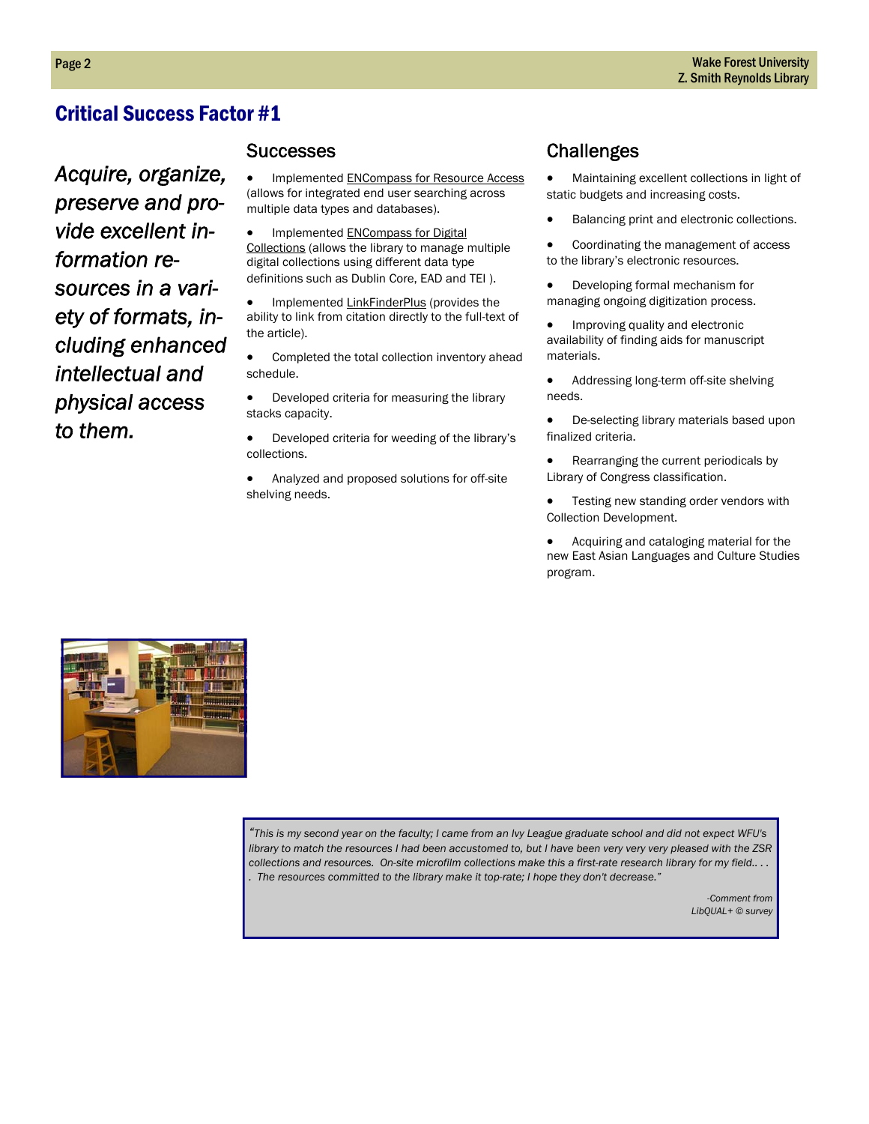*Acquire, organize, preserve and provide excellent information resources in a variety of formats, including enhanced intellectual and physical access to them.* 

#### **Successes**

• Implemented ENCompass for Resource Access (allows for integrated end user searching across multiple data types and databases).

• Implemented **ENCompass for Digital** Collections (allows the library to manage multiple digital collections using different data type definitions such as Dublin Core, EAD and TEI ).

• Implemented LinkFinderPlus (provides the ability to link from citation directly to the full-text of the article).

• Completed the total collection inventory ahead schedule.

• Developed criteria for measuring the library stacks capacity.

• Developed criteria for weeding of the library's collections.

• Analyzed and proposed solutions for off-site shelving needs.

# **Challenges**

• Maintaining excellent collections in light of static budgets and increasing costs.

• Balancing print and electronic collections.

• Coordinating the management of access to the library's electronic resources.

• Developing formal mechanism for managing ongoing digitization process.

• Improving quality and electronic availability of finding aids for manuscript materials.

• Addressing long-term off-site shelving needs.

• De-selecting library materials based upon finalized criteria.

• Rearranging the current periodicals by Library of Congress classification.

Testing new standing order vendors with Collection Development.

• Acquiring and cataloging material for the new East Asian Languages and Culture Studies program.



*"This is my second year on the faculty; I came from an Ivy League graduate school and did not expect WFU's library to match the resources I had been accustomed to, but I have been very very very pleased with the ZSR collections and resources. On-site microfilm collections make this a first-rate research library for my field.. . . . The resources committed to the library make it top-rate; I hope they don't decrease."*

> *-Comment from LibQUAL+ © survey*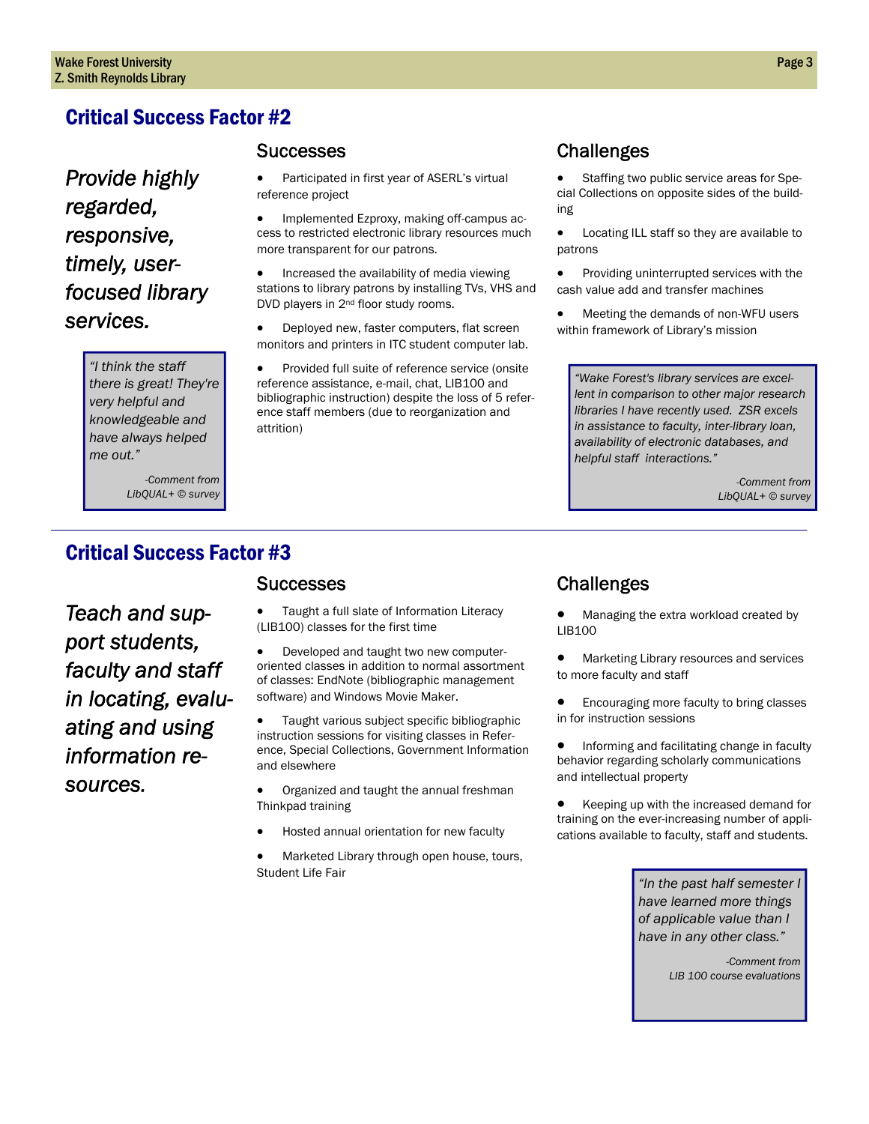*Provide highly regarded, responsive, timely, userfocused library services.* 

> *"I think the staff there is great! They're very helpful and knowledgeable and have always helped me out."*

> > *-Comment from LibQUAL+ © survey*

#### **Successes**

• Participated in first year of ASERL's virtual reference project

• Implemented Ezproxy, making off-campus access to restricted electronic library resources much more transparent for our patrons.

• Increased the availability of media viewing stations to library patrons by installing TVs, VHS and DVD players in 2<sup>nd</sup> floor study rooms.

• Deployed new, faster computers, flat screen monitors and printers in ITC student computer lab.

• Provided full suite of reference service (onsite reference assistance, e-mail, chat, LIB100 and bibliographic instruction) despite the loss of 5 reference staff members (due to reorganization and attrition)

### **Challenges**

• Staffing two public service areas for Special Collections on opposite sides of the building

• Locating ILL staff so they are available to patrons

• Providing uninterrupted services with the cash value add and transfer machines

• Meeting the demands of non-WFU users within framework of Library's mission

*"Wake Forest's library services are excellent in comparison to other major research libraries I have recently used. ZSR excels in assistance to faculty, inter-library loan, availability of electronic databases, and helpful staff interactions."*

> *-Comment from LibQUAL+ © survey*

# Critical Success Factor #3

*Teach and support students, faculty and staff in locating, evaluating and using information resources.* 

#### **Successes**

• Taught a full slate of Information Literacy (LIB100) classes for the first time

• Developed and taught two new computeroriented classes in addition to normal assortment of classes: EndNote (bibliographic management software) and Windows Movie Maker.

• Taught various subject specific bibliographic instruction sessions for visiting classes in Reference, Special Collections, Government Information and elsewhere

• Organized and taught the annual freshman Thinkpad training

• Hosted annual orientation for new faculty

• Marketed Library through open house, tours, Student Life Fair

# Challenges

• Managing the extra workload created by LIB100

• Marketing Library resources and services to more faculty and staff

**•** Encouraging more faculty to bring classes in for instruction sessions

• Informing and facilitating change in faculty behavior regarding scholarly communications and intellectual property

• Keeping up with the increased demand for training on the ever-increasing number of applications available to faculty, staff and students.

> *"In the past half semester I have learned more things of applicable value than I have in any other class."*

> > *-Comment from LIB 100 course evaluations*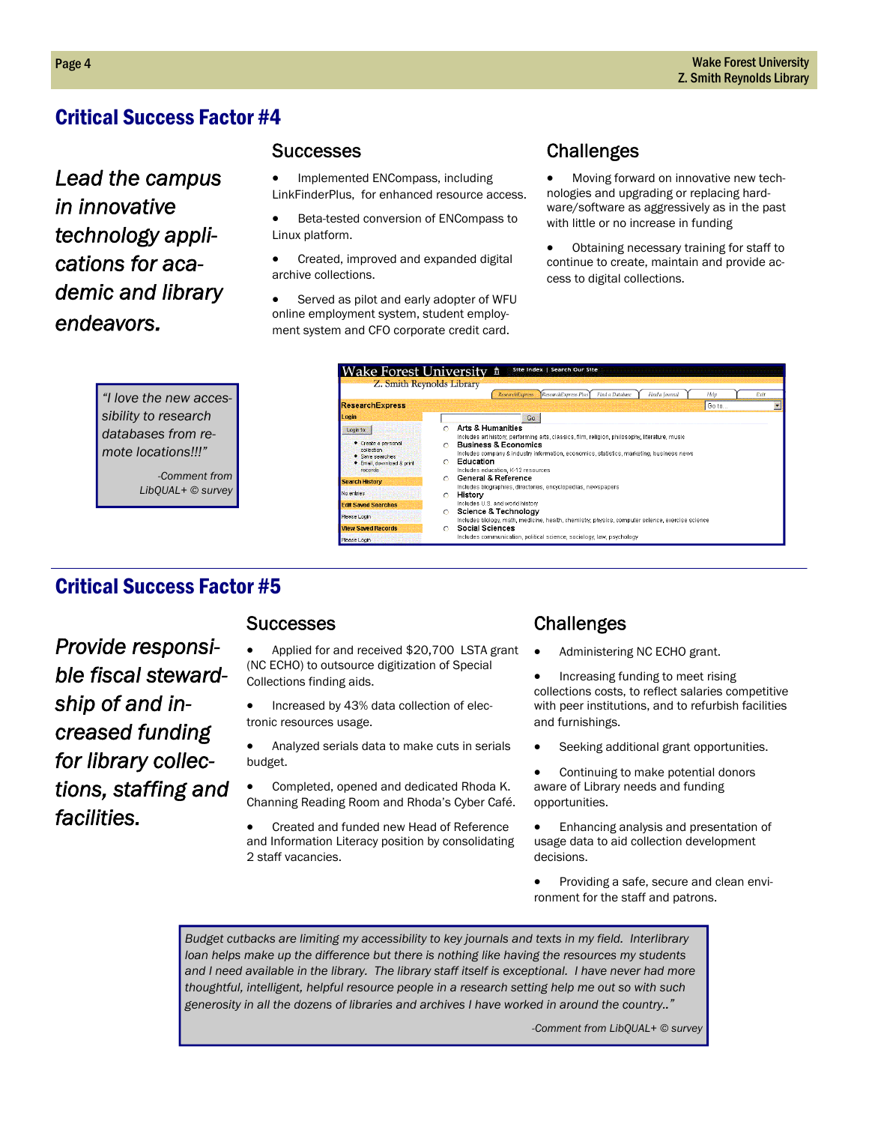*Lead the campus in innovative technology applications for academic and library endeavors.* 

#### Successes

• Implemented ENCompass, including LinkFinderPlus, for enhanced resource access.

• Beta-tested conversion of ENCompass to Linux platform.

• Created, improved and expanded digital archive collections.

Served as pilot and early adopter of WFU online employment system, student employment system and CFO corporate credit card.

# **Challenges**

• Moving forward on innovative new technologies and upgrading or replacing hardware/software as aggressively as in the past with little or no increase in funding

Obtaining necessary training for staff to continue to create, maintain and provide access to digital collections.

| "I love the new acces- |  |  |  |
|------------------------|--|--|--|
| sibility to research   |  |  |  |
| databases from re-     |  |  |  |
| mote locations!!!"     |  |  |  |
|                        |  |  |  |

*-Comment from LibQUAL+ © survey* 



# Critical Success Factor #5

*Provide responsible fiscal stewardship of and increased funding for library collections, staffing and facilities.* 

#### **Successes**

- Applied for and received \$20,700 LSTA grant (NC ECHO) to outsource digitization of Special Collections finding aids.
- Increased by 43% data collection of electronic resources usage.
- Analyzed serials data to make cuts in serials budget.
- Completed, opened and dedicated Rhoda K. Channing Reading Room and Rhoda's Cyber Café.
- Created and funded new Head of Reference and Information Literacy position by consolidating 2 staff vacancies.

#### **Challenges**

- Administering NC ECHO grant.
- Increasing funding to meet rising collections costs, to reflect salaries competitive with peer institutions, and to refurbish facilities and furnishings.
- Seeking additional grant opportunities.

• Continuing to make potential donors aware of Library needs and funding opportunities.

• Enhancing analysis and presentation of usage data to aid collection development decisions.

• Providing a safe, secure and clean environment for the staff and patrons.

*Budget cutbacks are limiting my accessibility to key journals and texts in my field. Interlibrary loan helps make up the difference but there is nothing like having the resources my students and I need available in the library. The library staff itself is exceptional. I have never had more thoughtful, intelligent, helpful resource people in a research setting help me out so with such generosity in all the dozens of libraries and archives I have worked in around the country.."* 

*-Comment from LibQUAL+ © survey*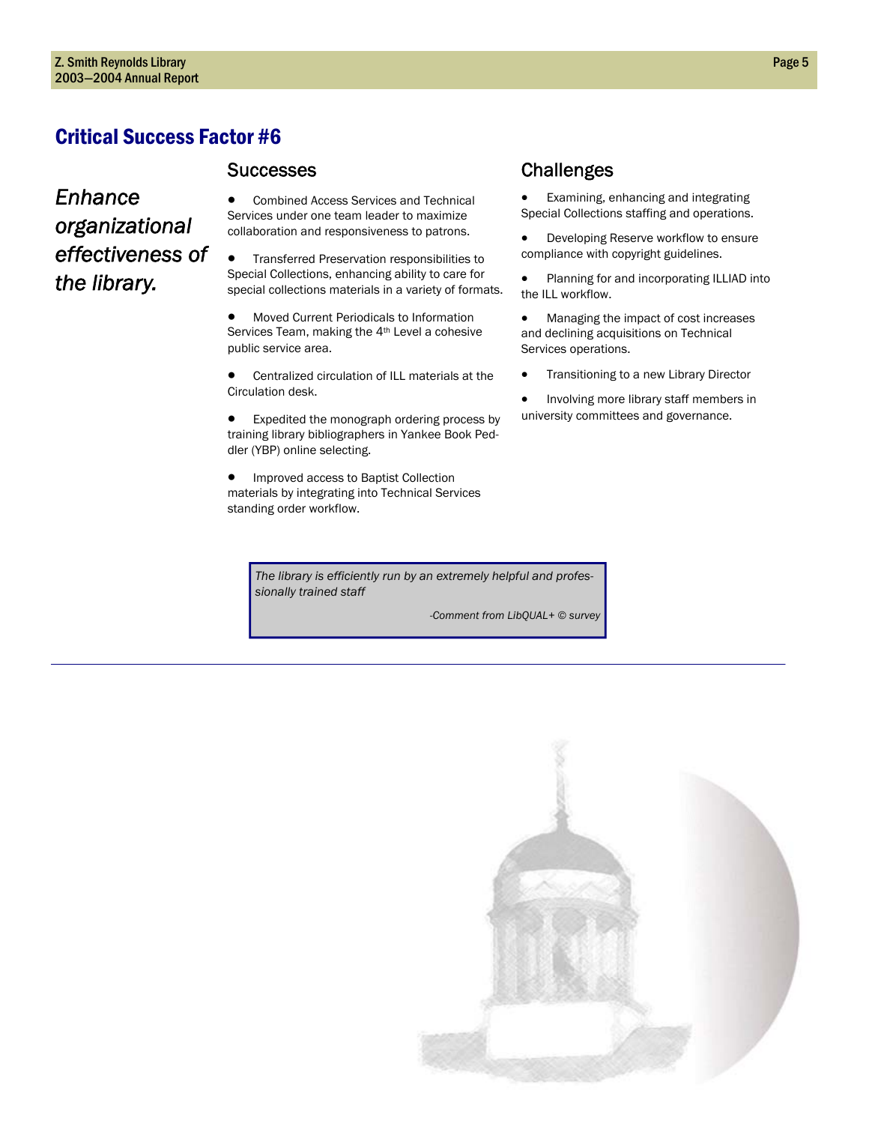#### **Successes**

# *Enhance organizational effectiveness of the library.*

#### • Combined Access Services and Technical Services under one team leader to maximize collaboration and responsiveness to patrons.

• Transferred Preservation responsibilities to Special Collections, enhancing ability to care for special collections materials in a variety of formats.

- Moved Current Periodicals to Information Services Team, making the 4th Level a cohesive public service area.
- Centralized circulation of ILL materials at the Circulation desk.

• Expedited the monograph ordering process by training library bibliographers in Yankee Book Peddler (YBP) online selecting.

• Improved access to Baptist Collection materials by integrating into Technical Services standing order workflow.

> *The library is efficiently run by an extremely helpful and professionally trained staff*

> > *-Comment from LibQUAL+ © survey*

# **Challenges**

• Examining, enhancing and integrating Special Collections staffing and operations.

• Developing Reserve workflow to ensure compliance with copyright guidelines.

- Planning for and incorporating ILLIAD into the ILL workflow.
- Managing the impact of cost increases and declining acquisitions on Technical Services operations.
- Transitioning to a new Library Director
- Involving more library staff members in university committees and governance.

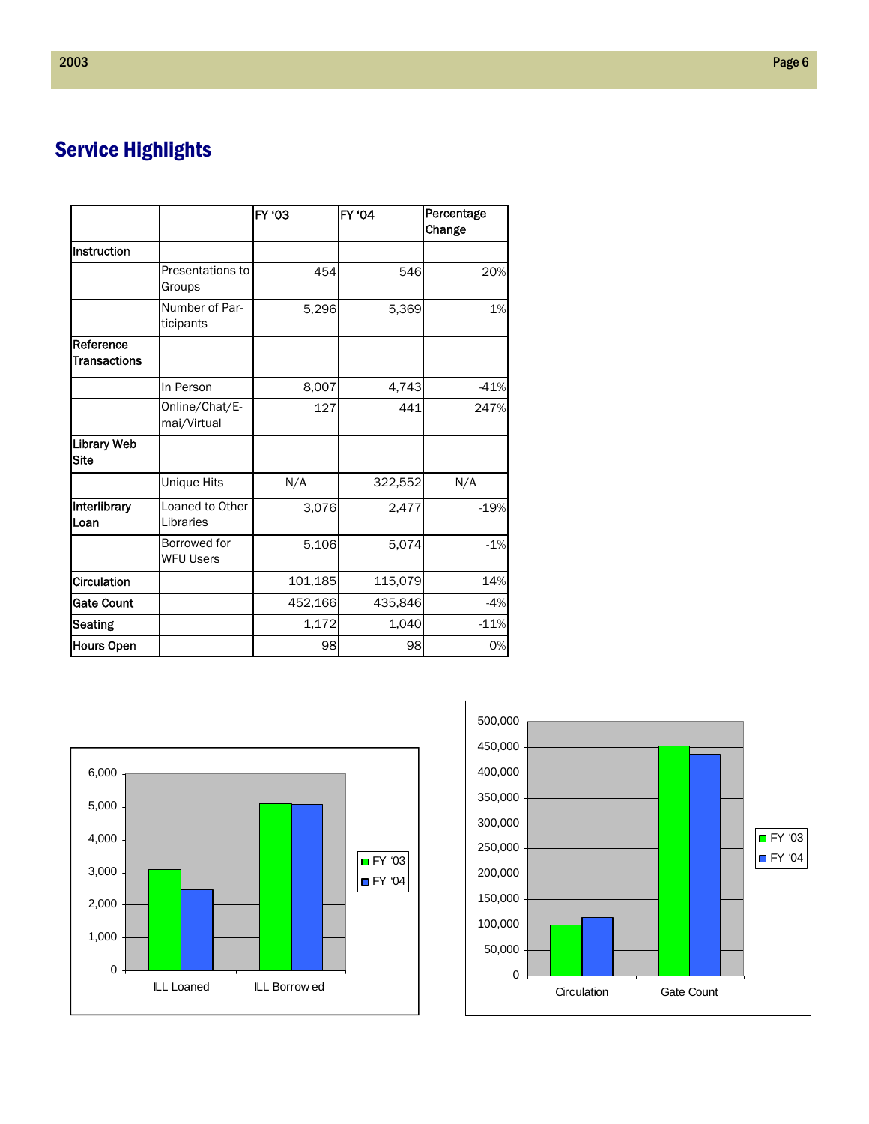# Service Highlights

|                                  |                                  | <b>FY '03</b> | <b>FY '04</b> | Percentage<br>Change |
|----------------------------------|----------------------------------|---------------|---------------|----------------------|
| Instruction                      |                                  |               |               |                      |
|                                  | Presentations to<br>Groups       | 454           | 546           | 20%                  |
|                                  | Number of Par-<br>ticipants      | 5,296         | 5,369         | 1%                   |
| Reference<br><b>Transactions</b> |                                  |               |               |                      |
|                                  | In Person                        | 8,007         | 4,743         | $-41%$               |
|                                  | Online/Chat/E-<br>mai/Virtual    | 127           | 441           | 247%                 |
| <b>Library Web</b><br>Site       |                                  |               |               |                      |
|                                  | <b>Unique Hits</b>               | N/A           | 322,552       | N/A                  |
| Interlibrary<br>Loan             | Loaned to Other<br>Libraries     | 3,076         | 2,477         | $-19%$               |
|                                  | Borrowed for<br><b>WFU Users</b> | 5,106         | 5,074         | $-1%$                |
| Circulation                      |                                  | 101,185       | 115,079       | 14%                  |
| <b>Gate Count</b>                |                                  | 452,166       | 435,846       | $-4%$                |
| <b>Seating</b>                   |                                  | 1,172         | 1,040         | $-11%$               |
| <b>Hours Open</b>                |                                  | 98            | 98            | 0%                   |



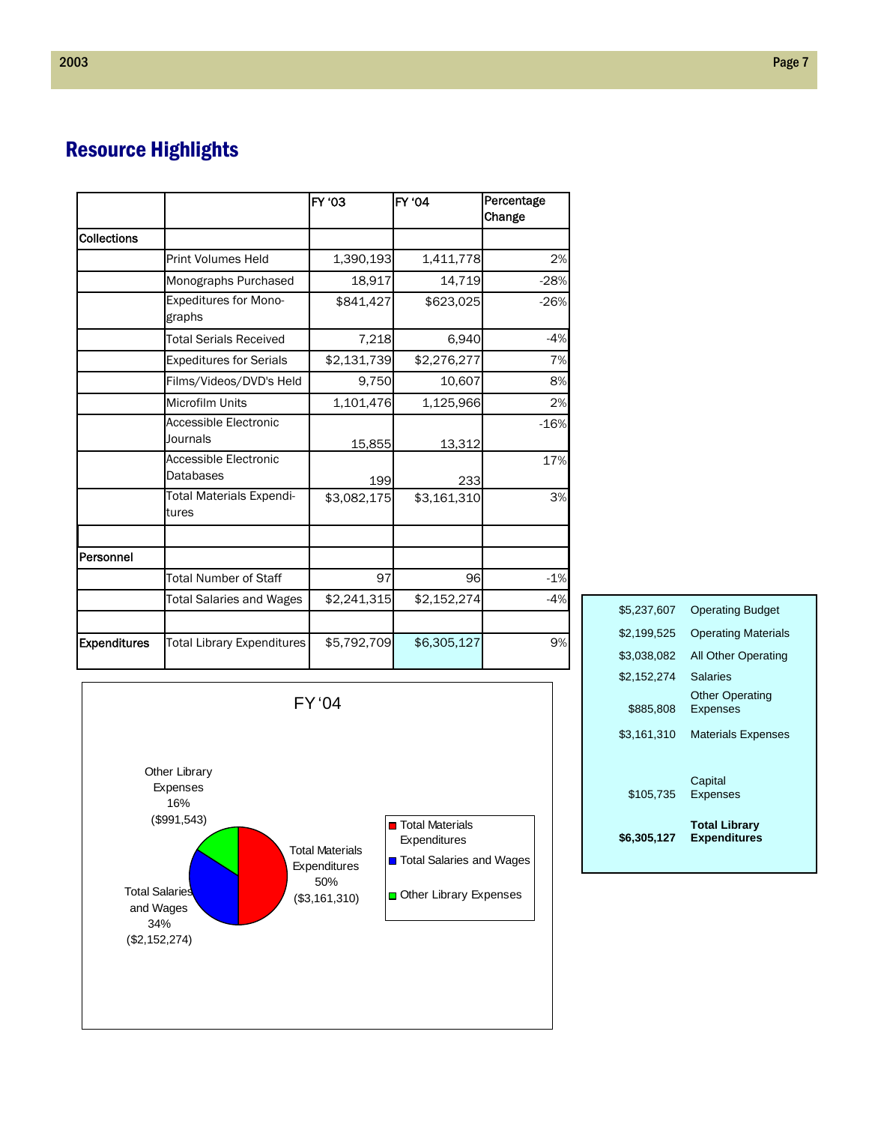# Resource Highlights

|                     |                                           | FY '03      | <b>FY '04</b> | Percentage<br>Change |
|---------------------|-------------------------------------------|-------------|---------------|----------------------|
| <b>Collections</b>  |                                           |             |               |                      |
|                     | <b>Print Volumes Held</b>                 | 1,390,193   | 1,411,778     | 2%                   |
|                     | Monographs Purchased                      | 18,917      | 14,719        | $-28%$               |
|                     | Expeditures for Mono-<br>graphs           | \$841,427   | \$623,025     | $-26%$               |
|                     | <b>Total Serials Received</b>             | 7,218       | 6,940         | $-4%$                |
|                     | <b>Expeditures for Serials</b>            | \$2,131,739 | \$2,276,277   | 7%                   |
|                     | Films/Videos/DVD's Held                   | 9,750       | 10,607        | 8%                   |
|                     | Microfilm Units                           | 1,101,476   | 1,125,966     | 2%                   |
|                     | Accessible Electronic<br>Journals         | 15,855      | 13,312        | $-16%$               |
|                     | Accessible Electronic<br><b>Databases</b> | 199         | 233           | 17%                  |
|                     | Total Materials Expendi-<br>tures         | \$3,082,175 | \$3,161,310   | 3%                   |
| <b>Personnel</b>    |                                           |             |               |                      |
|                     | <b>Total Number of Staff</b>              | 97          | 96            | $-1%$                |
|                     | <b>Total Salaries and Wages</b>           | \$2,241,315 | \$2,152,274   | $-4%$                |
| <b>Expenditures</b> | Total Library Expenditures                | \$5,792,709 | \$6,305,127   | 9%                   |



| \$6,305,127 | <b>Total Library</b><br><b>Expenditures</b> |
|-------------|---------------------------------------------|
| \$105.735   | Capital<br>Expenses                         |
| \$3,161,310 | <b>Materials Expenses</b>                   |
| \$885,808   | <b>Other Operating</b><br><b>Expenses</b>   |
| \$2,152,274 | Salaries                                    |
| \$3,038,082 | <b>All Other Operating</b>                  |
| \$2.199.525 | <b>Operating Materials</b>                  |
| \$5.237.607 | <b>Operating Budget</b>                     |